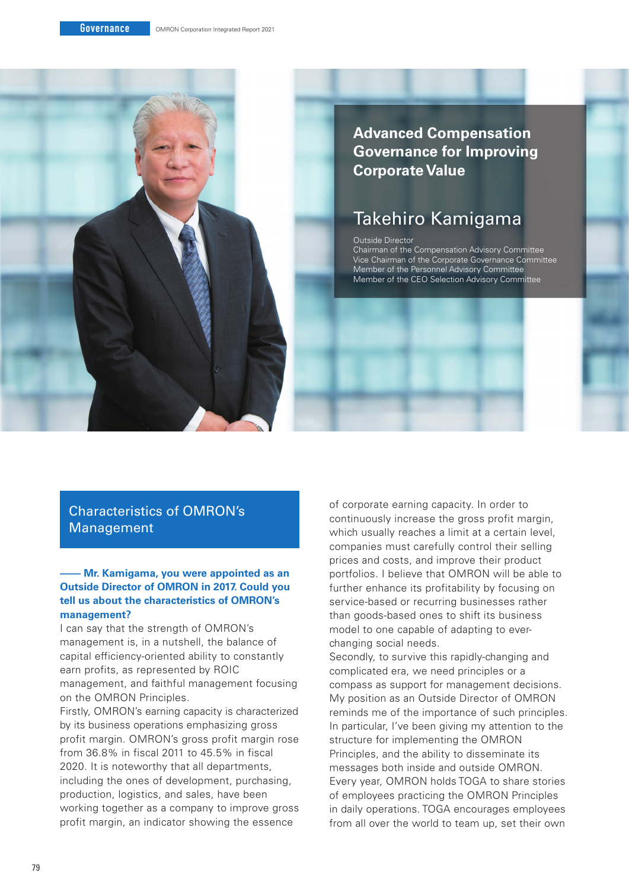

## **Advanced Compensation Governance for Improving Corporate Value**

# Takehiro Kamigama

#### Outside Director

Chairman of the Compensation Advisory Committee Vice Chairman of the Corporate Governance Committee Member of the Personnel Advisory Committee Member of the CEO Selection Advisory Committee

## Characteristics of OMRON's Management

#### **– Mr. Kamigama, you were appointed as an Outside Director of OMRON in 2017. Could you tell us about the characteristics of OMRON's management?**

I can say that the strength of OMRON's management is, in a nutshell, the balance of capital efficiency-oriented ability to constantly earn profits, as represented by ROIC management, and faithful management focusing on the OMRON Principles.

Firstly, OMRON's earning capacity is characterized by its business operations emphasizing gross profit margin. OMRON's gross profit margin rose from 36.8% in fiscal 2011 to 45.5% in fiscal 2020. It is noteworthy that all departments, including the ones of development, purchasing, production, logistics, and sales, have been working together as a company to improve gross profit margin, an indicator showing the essence

of corporate earning capacity. In order to continuously increase the gross profit margin, which usually reaches a limit at a certain level, companies must carefully control their selling prices and costs, and improve their product portfolios. I believe that OMRON will be able to further enhance its profitability by focusing on service-based or recurring businesses rather than goods-based ones to shift its business model to one capable of adapting to everchanging social needs.

Secondly, to survive this rapidly-changing and complicated era, we need principles or a compass as support for management decisions. My position as an Outside Director of OMRON reminds me of the importance of such principles. In particular, I've been giving my attention to the structure for implementing the OMRON Principles, and the ability to disseminate its messages both inside and outside OMRON. Every year, OMRON holds TOGA to share stories of employees practicing the OMRON Principles in daily operations. TOGA encourages employees from all over the world to team up, set their own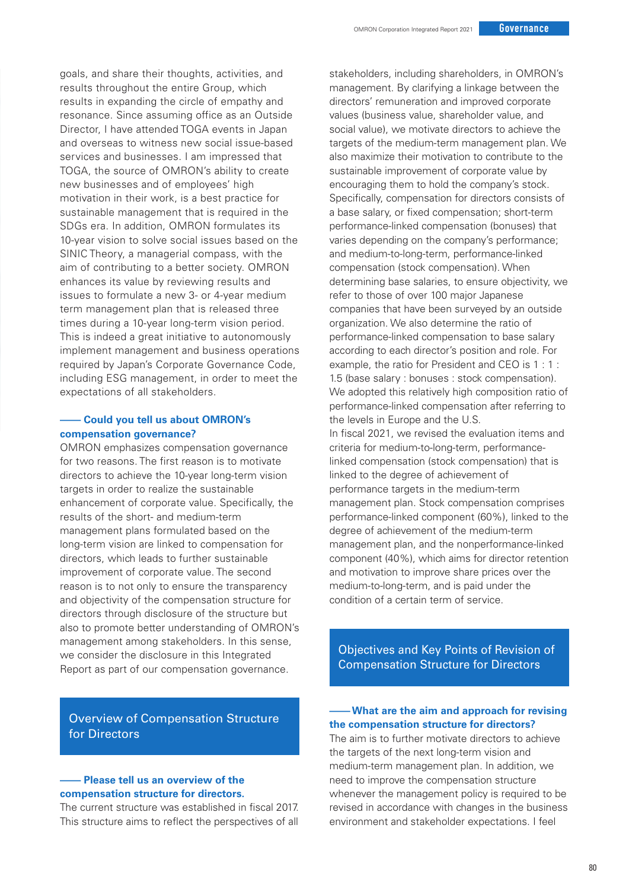goals, and share their thoughts, activities, and results throughout the entire Group, which results in expanding the circle of empathy and resonance. Since assuming office as an Outside Director, I have attended TOGA events in Japan and overseas to witness new social issue-based services and businesses. I am impressed that TOGA, the source of OMRON's ability to create new businesses and of employees' high motivation in their work, is a best practice for sustainable management that is required in the SDGs era. In addition, OMRON formulates its 10-year vision to solve social issues based on the SINIC Theory, a managerial compass, with the aim of contributing to a better society. OMRON enhances its value by reviewing results and issues to formulate a new 3- or 4-year medium term management plan that is released three times during a 10-year long-term vision period. This is indeed a great initiative to autonomously implement management and business operations required by Japan's Corporate Governance Code, including ESG management, in order to meet the expectations of all stakeholders.

#### **– Could you tell us about OMRON's compensation governance?**

OMRON emphasizes compensation governance for two reasons. The first reason is to motivate directors to achieve the 10-year long-term vision targets in order to realize the sustainable enhancement of corporate value. Specifically, the results of the short- and medium-term management plans formulated based on the long-term vision are linked to compensation for directors, which leads to further sustainable improvement of corporate value. The second reason is to not only to ensure the transparency and objectivity of the compensation structure for directors through disclosure of the structure but also to promote better understanding of OMRON's management among stakeholders. In this sense, we consider the disclosure in this Integrated Report as part of our compensation governance.

Overview of Compensation Structure for Directors

#### **– Please tell us an overview of the compensation structure for directors.**

The current structure was established in fiscal 2017. This structure aims to reflect the perspectives of all stakeholders, including shareholders, in OMRON's management. By clarifying a linkage between the directors' remuneration and improved corporate values (business value, shareholder value, and social value), we motivate directors to achieve the targets of the medium-term management plan. We also maximize their motivation to contribute to the sustainable improvement of corporate value by encouraging them to hold the company's stock. Specifically, compensation for directors consists of a base salary, or fixed compensation; short-term performance-linked compensation (bonuses) that varies depending on the company's performance; and medium-to-long-term, performance-linked compensation (stock compensation). When determining base salaries, to ensure objectivity, we refer to those of over 100 major Japanese companies that have been surveyed by an outside organization. We also determine the ratio of performance-linked compensation to base salary according to each director's position and role. For example, the ratio for President and CEO is 1 : 1 : 1.5 (base salary : bonuses : stock compensation). We adopted this relatively high composition ratio of performance-linked compensation after referring to the levels in Europe and the U.S. In fiscal 2021, we revised the evaluation items and criteria for medium-to-long-term, performancelinked compensation (stock compensation) that is linked to the degree of achievement of performance targets in the medium-term management plan. Stock compensation comprises performance-linked component (60%), linked to the degree of achievement of the medium-term management plan, and the nonperformance-linked component (40%), which aims for director retention and motivation to improve share prices over the medium-to-long-term, and is paid under the condition of a certain term of service.

Objectives and Key Points of Revision of Compensation Structure for Directors

### **– What are the aim and approach for revising the compensation structure for directors?**

The aim is to further motivate directors to achieve the targets of the next long-term vision and medium-term management plan. In addition, we need to improve the compensation structure whenever the management policy is required to be revised in accordance with changes in the business environment and stakeholder expectations. I feel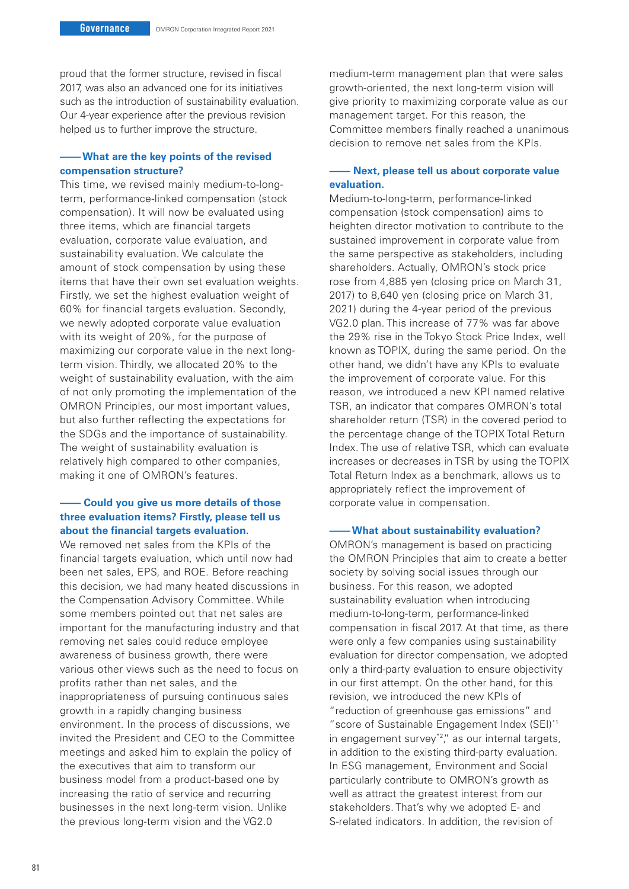proud that the former structure, revised in fiscal 2017, was also an advanced one for its initiatives such as the introduction of sustainability evaluation. Our 4-year experience after the previous revision helped us to further improve the structure.

#### **––– What are the key points of the revised compensation structure?**

This time, we revised mainly medium-to-longterm, performance-linked compensation (stock compensation). It will now be evaluated using three items, which are financial targets evaluation, corporate value evaluation, and sustainability evaluation. We calculate the amount of stock compensation by using these items that have their own set evaluation weights. Firstly, we set the highest evaluation weight of 60% for financial targets evaluation. Secondly, we newly adopted corporate value evaluation with its weight of 20%, for the purpose of maximizing our corporate value in the next longterm vision. Thirdly, we allocated 20% to the weight of sustainability evaluation, with the aim of not only promoting the implementation of the OMRON Principles, our most important values, but also further reflecting the expectations for the SDGs and the importance of sustainability. The weight of sustainability evaluation is relatively high compared to other companies, making it one of OMRON's features.

#### **– Could you give us more details of those three evaluation items? Firstly, please tell us about the financial targets evaluation.**

We removed net sales from the KPIs of the financial targets evaluation, which until now had been net sales, EPS, and ROE. Before reaching this decision, we had many heated discussions in the Compensation Advisory Committee. While some members pointed out that net sales are important for the manufacturing industry and that removing net sales could reduce employee awareness of business growth, there were various other views such as the need to focus on profits rather than net sales, and the inappropriateness of pursuing continuous sales growth in a rapidly changing business environment. In the process of discussions, we invited the President and CEO to the Committee meetings and asked him to explain the policy of the executives that aim to transform our business model from a product-based one by increasing the ratio of service and recurring businesses in the next long-term vision. Unlike the previous long-term vision and the VG2.0

medium-term management plan that were sales growth-oriented, the next long-term vision will give priority to maximizing corporate value as our management target. For this reason, the Committee members finally reached a unanimous decision to remove net sales from the KPIs.

#### **– Next, please tell us about corporate value evaluation.**

Medium-to-long-term, performance-linked compensation (stock compensation) aims to heighten director motivation to contribute to the sustained improvement in corporate value from the same perspective as stakeholders, including shareholders. Actually, OMRON's stock price rose from 4,885 yen (closing price on March 31, 2017) to 8,640 yen (closing price on March 31, 2021) during the 4-year period of the previous VG2.0 plan. This increase of 77% was far above the 29% rise in the Tokyo Stock Price Index, well known as TOPIX, during the same period. On the other hand, we didn't have any KPIs to evaluate the improvement of corporate value. For this reason, we introduced a new KPI named relative TSR, an indicator that compares OMRON's total shareholder return (TSR) in the covered period to the percentage change of the TOPIX Total Return Index. The use of relative TSR, which can evaluate increases or decreases in TSR by using the TOPIX Total Return Index as a benchmark, allows us to appropriately reflect the improvement of corporate value in compensation.

#### **– What about sustainability evaluation?**

OMRON's management is based on practicing the OMRON Principles that aim to create a better society by solving social issues through our business. For this reason, we adopted sustainability evaluation when introducing medium-to-long-term, performance-linked compensation in fiscal 2017. At that time, as there were only a few companies using sustainability evaluation for director compensation, we adopted only a third-party evaluation to ensure objectivity in our first attempt. On the other hand, for this revision, we introduced the new KPIs of "reduction of greenhouse gas emissions" and "score of Sustainable Engagement Index (SEI)\*1 in engagement survey<sup>\*2</sup>," as our internal targets, in addition to the existing third-party evaluation. In ESG management, Environment and Social particularly contribute to OMRON's growth as well as attract the greatest interest from our stakeholders. That's why we adopted E- and S-related indicators. In addition, the revision of